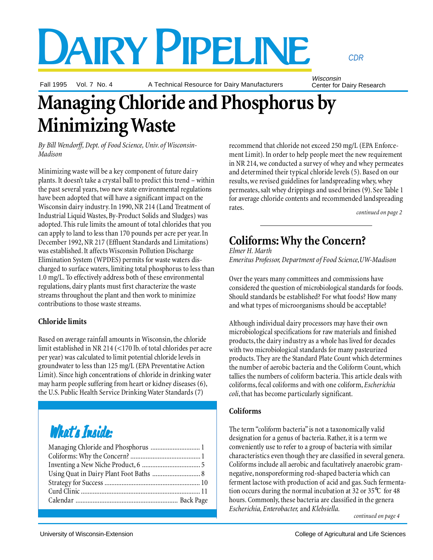# DAIRY PIPELINE

Fall 1995 Vol. 7 No. 4

A Technical Resource for Dairy Manufacturers

Wisconsin Center for Dairy Research

*CDR*

### **Managing Chloride and Phosphorus by Minimizing Waste**

*By Bill Wendorff, Dept. of Food Science, Univ. of Wisconsin-Madison*

Minimizing waste will be a key component of future dairy plants. It doesn't take a crystal ball to predict this trend – within the past several years, two new state environmental regulations have been adopted that will have a significant impact on the Wisconsin dairy industry. In 1990, NR 214 (Land Treatment of Industrial Liquid Wastes, By-Product Solids and Sludges) was adopted. This rule limits the amount of total chlorides that you can apply to land to less than 170 pounds per acre per year. In December 1992, NR 217 (Effluent Standards and Limitations) was established. It affects Wisconsin Pollution Discharge Elimination System (WPDES) permits for waste waters discharged to surface waters, limiting total phosphorus to less than 1.0 mg/L. To effectively address both of these environmental regulations, dairy plants must first characterize the waste streams throughout the plant and then work to minimize contributions to those waste streams.

### **Chloride limits**

Based on average rainfall amounts in Wisconsin, the chloride limit established in NR 214 (<170 lb. of total chlorides per acre per year) was calculated to limit potential chloride levels in groundwater to less than 125 mg/L (EPA Preventative Action Limit). Since high concentrations of chloride in drinking water may harm people suffering from heart or kidney diseases (6), the U.S. Public Health Service Drinking Water Standards (7)

### What's Inside:

| Managing Chloride and Phosphorus  1 |  |
|-------------------------------------|--|
|                                     |  |
|                                     |  |
|                                     |  |
|                                     |  |
|                                     |  |
|                                     |  |
|                                     |  |

recommend that chloride not exceed 250 mg/L (EPA Enforcement Limit). In order to help people meet the new requirement in NR 214, we conducted a survey of whey and whey permeates and determined their typical chloride levels (5). Based on our results, we revised guidelines for landspreading whey, whey permeates, salt whey drippings and used brines (9). See Table 1 for average chloride contents and recommended landspreading rates.

*continued on page 2*

### **Coliforms: Why the Concern?**

*Elmer H. Marth Emeritus Professor, Department of Food Science,UW-Madison*

Over the years many committees and commissions have considered the question of microbiological standards for foods. Should standards be established? For what foods? How many and what types of microorganisms should be acceptable?

Although individual dairy processors may have their own microbiological specifications for raw materials and finished products, the dairy industry as a whole has lived for decades with two microbiological standards for many pasteurized products. They are the Standard Plate Count which determines the number of aerobic bacteria and the Coliform Count, which tallies the numbers of coliform bacteria. This article deals with coliforms, fecal coliforms and with one coliform, *Escherichia coli*, that has become particularly significant.

### **Coliforms**

The term "coliform bacteria" is not a taxonomically valid designation for a genus of bacteria. Rather, it is a term we conveniently use to refer to a group of bacteria with similar characteristics even though they are classified in several genera. Coliforms include all aerobic and facultatively anaerobic gramnegative, nonsporeforming rod-shaped bacteria which can ferment lactose with production of acid and gas. Such fermentation occurs during the normal incubation at 32 or 35°C for 48 hours. Commonly, these bacteria are classified in the genera *Escherichia, Enterobacter,* and *Klebsiella.*

*continued on page 4*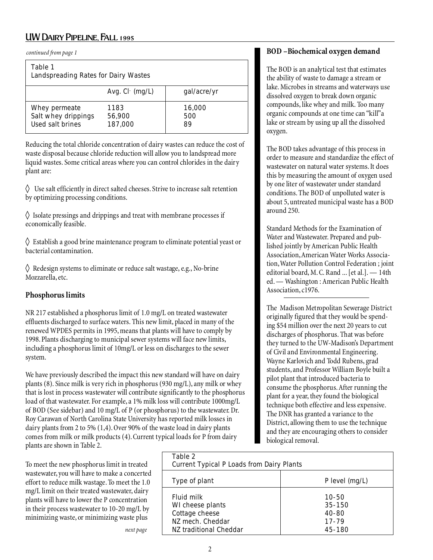### UW Dairy Pipeline, Fall 1995

*continued from page 1*

| Table 1<br>Landspreading Rates for Dairy Wastes          |                           |                     |
|----------------------------------------------------------|---------------------------|---------------------|
|                                                          | Avg. $Cl^-(mg/L)$         | gal/acre/yr         |
| Whey permeate<br>Salt whey drippings<br>Used salt brines | 1183<br>56,900<br>187,000 | 16,000<br>500<br>89 |

Reducing the total chloride concentration of dairy wastes can reduce the cost of waste disposal because chloride reduction will allow you to landspread more liquid wastes. Some critical areas where you can control chlorides in the dairy plant are:

◊ Use salt efficiently in direct salted cheeses. Strive to increase salt retention by optimizing processing conditions.

◊ Isolate pressings and drippings and treat with membrane processes if economically feasible.

◊ Establish a good brine maintenance program to eliminate potential yeast or bacterial contamination.

◊ Redesign systems to eliminate or reduce salt wastage, e.g., No-brine Mozzarella, etc.

### **Phosphorus limits**

NR 217 established a phosphorus limit of 1.0 mg/L on treated wastewater effluents discharged to surface waters. This new limit, placed in many of the renewed WPDES permits in 1995, means that plants will have to comply by 1998. Plants discharging to municipal sewer systems will face new limits, including a phosphorus limit of 10mg/L or less on discharges to the sewer system.

We have previously described the impact this new standard will have on dairy plants (8). Since milk is very rich in phosphorus (930 mg/L), any milk or whey that is lost in process wastewater will contribute significantly to the phosphorus load of that wastewater. For example, a 1% milk loss will contribute 1000mg/L of BOD (See sidebar) and 10 mg/L of P (or phosphorus) to the wastewater. Dr. Roy Carawan of North Carolina State University has reported milk losses in dairy plants from 2 to 5% (1,4). Over 90% of the waste load in dairy plants comes from milk or milk products (4). Current typical loads for P from dairy plants are shown in Table 2.

To meet the new phosphorus limit in treated wastewater, you will have to make a concerted effort to reduce milk wastage. To meet the 1.0 mg/L limit on their treated wastewater, dairy plants will have to lower the P concentration in their process wastewater to 10-20 mg/L by minimizing waste, or minimizing waste plus

*next page*

### **BOD –Biochemical oxygen demand**

The BOD is an analytical test that estimates the ability of waste to damage a stream or lake. Microbes in streams and waterways use dissolved oxygen to break down organic compounds, like whey and milk. Too many organic compounds at one time can "kill"a lake or stream by using up all the dissolved oxygen.

The BOD takes advantage of this process in order to measure and standardize the effect of wastewater on natural water systems. It does this by measuring the amount of oxygen used by one liter of wastewater under standard conditions. The BOD of unpolluted water is about 5, untreated municipal waste has a BOD around 250.

Standard Methods for the Examination of Water and Wastewater. Prepared and published jointly by American Public Health Association, American Water Works Association, Water Pollution Control Federation ; joint editorial board, M. C. Rand ... [et al.]. — 14th ed. — Washington : American Public Health Association, c1976.

The Madison Metropolitan Sewerage District originally figured that they would be spending \$54 million over the next 20 years to cut discharges of phosphorus. That was before they turned to the UW-Madison's Department of Civil and Environmental Engineering. Wayne Karlovich and Todd Rubens, grad students, and Professor William Boyle built a pilot plant that introduced bacteria to consume the phosphorus. After running the plant for a year, they found the biological technique both effective and less expensive. The DNR has granted a variance to the District, allowing them to use the technique and they are encouraging others to consider biological removal.

| <b>Current Typical P Loads from Dairy Plants</b> |                  |  |
|--------------------------------------------------|------------------|--|
| Type of plant                                    | P level $(mg/L)$ |  |
| Fluid milk                                       | $10-50$          |  |
| WI cheese plants                                 | $35 - 150$       |  |
| Cottage cheese                                   | $40 - 80$        |  |
| NZ mech. Cheddar                                 | $17 - 79$        |  |
| NZ traditional Cheddar                           | $45 - 180$       |  |

Table 2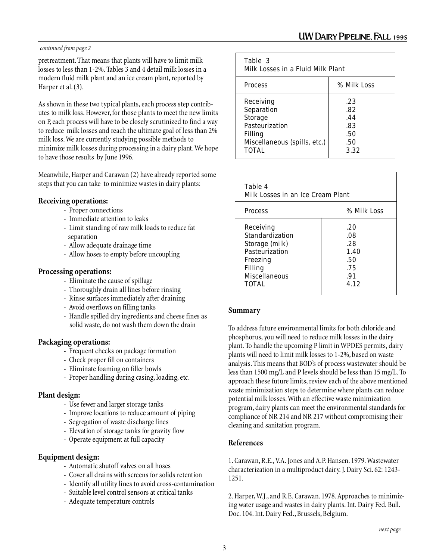#### *continued from page 2*

pretreatment. That means that plants will have to limit milk losses to less than 1-2%. Tables 3 and 4 detail milk losses in a modern fluid milk plant and an ice cream plant, reported by Harper et al. (3).

As shown in these two typical plants, each process step contributes to milk loss. However, for those plants to meet the new limits on P, each process will have to be closely scrutinized to find a way to reduce milk losses and reach the ultimate goal of less than 2% milk loss. We are currently studying possible methods to minimize milk losses during processing in a dairy plant. We hope to have those results by June 1996.

Meanwhile, Harper and Carawan (2) have already reported some steps that you can take to minimize wastes in dairy plants:

#### **Receiving operations:**

- Proper connections
- Immediate attention to leaks
- Limit standing of raw milk loads to reduce fat separation
- Allow adequate drainage time
- Allow hoses to empty before uncoupling

#### **Processing operations:**

- Eliminate the cause of spillage
- Thoroughly drain all lines before rinsing
- Rinse surfaces immediately after draining
- Avoid overflows on filling tanks
- Handle spilled dry ingredients and cheese fines as solid waste, do not wash them down the drain

### **Packaging operations:**

- Frequent checks on package formation
- Check proper fill on containers
- Eliminate foaming on filler bowls
- Proper handling during casing, loading, etc.

#### **Plant design:**

- Use fewer and larger storage tanks
- Improve locations to reduce amount of piping
- Segregation of waste discharge lines
- Elevation of storage tanks for gravity flow
- Operate equipment at full capacity

### **Equipment design:**

- Automatic shutoff valves on all hoses
- Cover all drains with screens for solids retention
- Identify all utility lines to avoid cross-contamination
- Suitable level control sensors at critical tanks
- Adequate temperature controls

| Table 3<br>Milk Losses in a Fluid Milk Plant                                                             |                                                |  |
|----------------------------------------------------------------------------------------------------------|------------------------------------------------|--|
| <b>Process</b>                                                                                           | % Milk Loss                                    |  |
| Receiving<br>Separation<br>Storage<br>Pasteurization<br>Filling<br>Miscellaneous (spills, etc.)<br>TOTAL | .23<br>.82<br>.44<br>.83<br>.50<br>.50<br>3.32 |  |

| Table 4<br>Milk Losses in an Ice Cream Plant                                                                             |                                                        |  |  |
|--------------------------------------------------------------------------------------------------------------------------|--------------------------------------------------------|--|--|
| <b>Process</b>                                                                                                           | % Milk Loss                                            |  |  |
| Receiving<br>Standardization<br>Storage (milk)<br>Pasteurization<br>Freezing<br>Filling<br><b>Miscellaneous</b><br>TOTAL | .20<br>.08<br>.28<br>1.40<br>.50<br>.75<br>.91<br>4.12 |  |  |

### **Summary**

To address future environmental limits for both chloride and phosphorus, you will need to reduce milk losses in the dairy plant. To handle the upcoming P limit in WPDES permits, dairy plants will need to limit milk losses to 1-2%, based on waste analysis. This means that BOD's of process wastewater should be less than 1500 mg/L and P levels should be less than 15 mg/L. To approach these future limits, review each of the above mentioned waste minimization steps to determine where plants can reduce potential milk losses. With an effective waste minimization program, dairy plants can meet the environmental standards for compliance of NR 214 and NR 217 without compromising their cleaning and sanitation program.

### **References**

1. Carawan, R.E., V.A. Jones and A.P. Hansen. 1979. Wastewater characterization in a multiproduct dairy. J. Dairy Sci. 62: 1243- 1251.

2. Harper, W.J., and R.E. Carawan. 1978. Approaches to minimizing water usage and wastes in dairy plants. Int. Dairy Fed. Bull. Doc. 104. Int. Dairy Fed., Brussels, Belgium.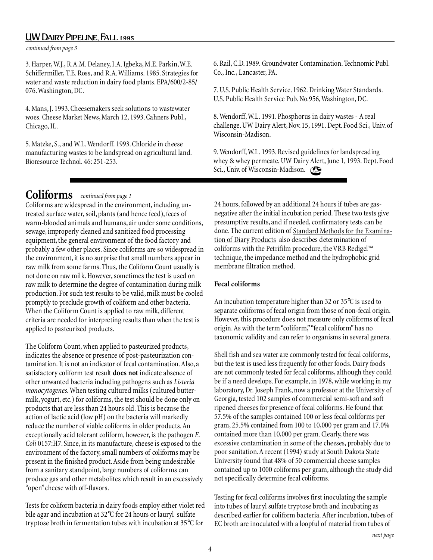### UW Dairy Pipeline, Fall 1995

*continued from page 3*

3. Harper, W.J., R.A.M. Delaney, I.A. Igbeka, M.E. Parkin, W.E. Schiffermiller, T.E. Ross, and R.A. Williams. 1985. Strategies for water and waste reduction in dairy food plants. EPA/600/2-85/ 076. Washington, DC.

4. Mans, J. 1993. Cheesemakers seek solutions to wastewater woes. Cheese Market News, March 12, 1993. Cahners Publ., Chicago, IL.

5. Matzke, S., and W.L. Wendorff. 1993. Chloride in cheese manufacturing wastes to be landspread on agricultural land. Bioresource Technol. 46: 251-253.

### **Coliforms** *continued from page 1*

Coliforms are widespread in the environment, including untreated surface water, soil, plants (and hence feed), feces of warm-blooded animals and humans, air under some conditions, sewage, improperly cleaned and sanitized food processing equipment, the general environment of the food factory and probably a few other places. Since coliforms are so widespread in the environment, it is no surprise that small numbers appear in raw milk from some farms. Thus, the Coliform Count usually is not done on raw milk. However, sometimes the test is used on raw milk to determine the degree of contamination during milk production. For such test results to be valid, milk must be cooled promptly to preclude growth of coliform and other bacteria. When the Coliform Count is applied to raw milk, different criteria are needed for interpreting results than when the test is applied to pasteurized products.

The Coliform Count, when applied to pasteurized products, indicates the absence or presence of post-pasteurization contamination. It is not an indicator of fecal contamination. Also, a satisfactory coliform test result **does not** indicate absence of other unwanted bacteria including pathogens such as *Listeria monocytogenes.* When testing cultured milks (cultured buttermilk, yogurt, etc.) for coliforms, the test should be done only on products that are less than 24 hours old. This is because the action of lactic acid (low pH) on the bacteria will markedly reduce the number of viable coliforms in older products. An exceptionally acid tolerant coliform, however, is the pathogen *E. Coli* 0157:H7. Since, in its manufacture, cheese is exposed to the environment of the factory, small numbers of coliforms may be present in the finished product. Aside from being undesirable from a sanitary standpoint, large numbers of coliforms can produce gas and other metabolites which result in an excessively "open" cheese with off-flavors.

Tests for coliform bacteria in dairy foods employ either violet red bile agar and incubation at 32°C for 24 hours or lauryl sulfate tryptose broth in fermentation tubes with incubation at 35°C for

6. Rail, C.D. 1989. Groundwater Contamination. Technomic Publ. Co., Inc., Lancaster, PA.

7. U.S. Public Health Service. 1962. Drinking Water Standards. U.S. Public Health Service Pub. No.956, Washington, DC.

8. Wendorff, W.L. 1991. Phosphorus in dairy wastes - A real challenge. UW Dairy Alert, Nov. 15, 1991. Dept. Food Sci., Univ. of Wisconsin-Madison.

9. Wendorff, W.L. 1993. Revised guidelines for landspreading whey & whey permeate. UW Dairy Alert, June 1, 1993. Dept. Food Sci., Univ. of Wisconsin-Madison. Con

24 hours, followed by an additional 24 hours if tubes are gasnegative after the initial incubation period. These two tests give presumptive results, and if needed, confirmatory tests can be done. The current edition of Standard Methods for the Examination of Diary Products also describes determination of coliforms with the Petrifilm procedure, the VRB Redigel™ technique, the impedance method and the hydrophobic grid membrane filtration method.

### **Fecal coliforms**

An incubation temperature higher than 32 or 35°C is used to separate coliforms of fecal origin from those of non-fecal origin. However, this procedure does not measure only coliforms of fecal origin. As with the term "coliform," "fecal coliform" has no taxonomic validity and can refer to organisms in several genera.

Shell fish and sea water are commonly tested for fecal coliforms, but the test is used less frequently for other foods. Dairy foods are not commonly tested for fecal coliforms, although they could be if a need develops. For example, in 1978, while working in my laboratory, Dr. Joseph Frank, now a professor at the University of Georgia, tested 102 samples of commercial semi-soft and soft ripened cheeses for presence of fecal coliforms. He found that 57.5% of the samples contained 100 or less fecal coliforms per gram, 25.5% contained from 100 to 10,000 per gram and 17.0% contained more than 10,000 per gram. Clearly, there was excessive contamination in some of the cheeses, probably due to poor sanitation. A recent (1994) study at South Dakota State University found that 48% of 50 commercial cheese samples contained up to 1000 coliforms per gram, although the study did not specifically determine fecal coliforms.

Testing for fecal coliforms involves first inoculating the sample into tubes of lauryl sulfate tryptose broth and incubating as described earlier for coliform bacteria. After incubation, tubes of EC broth are inoculated with a loopful of material from tubes of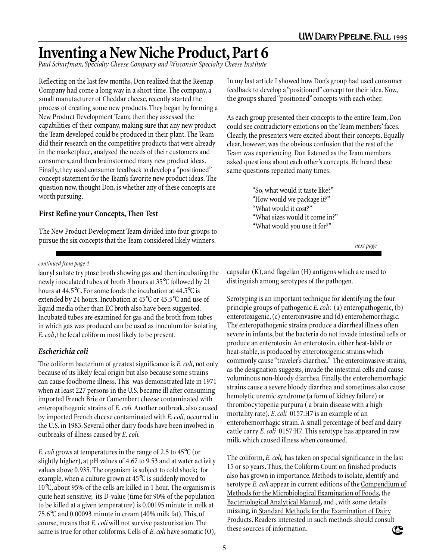### **Inventing a New Niche Product, Part 6**

*Paul Scharfman, Specialty Cheese Company and Wisconsin Specialty Cheese Institute*

Reflecting on the last few months, Don realized that the Reenap Company had come a long way in a short time. The company, a small manufacturer of Cheddar cheese, recently started the process of creating some new products. They began by forming a New Product Development Team; then they assessed the capabilities of their company, making sure that any new product the Team developed could be produced in their plant. The Team did their research on the competitive products that were already in the marketplace, analyzed the needs of their customers and consumers, and then brainstormed many new product ideas. Finally, they used consumer feedback to develop a "positioned" concept statement for the Team's favorite new product ideas. The question now, thought Don, is whether any of these concepts are worth pursuing.

### **First Refine your Concepts, Then Test**

The New Product Development Team divided into four groups to pursue the six concepts that the Team considered likely winners.

*continued from page 4*

lauryl sulfate tryptose broth showing gas and then incubating the newly inoculated tubes of broth 3 hours at 35°C followed by 21 hours at 44.5°C. For some foods the incubation at 44.5°C is extended by 24 hours. Incubation at 45°C or 45.5°C and use of liquid media other than EC broth also have been suggested. Incubated tubes are examined for gas and the broth from tubes in which gas was produced can be used as inoculum for isolating *E. coli*, the fecal coliform most likely to be present.

### *Escherichia coli*

The coliform bacterium of greatest significance is *E. coli*, not only because of its likely fecal origin but also because some strains can cause foodborne illness. This was demonstrated late in 1971 when at least 227 persons in the U.S. became ill after consuming imported French Brie or Camembert cheese contaminated with enteropathogenic strains of *E. coli.* Another outbreak, also caused by imported French cheese contaminated with *E. coli,* occurred in the U.S. in 1983. Several other dairy foods have been involved in outbreaks of illness caused by *E. coli.*

*E. coli* grows at temperatures in the range of 2.5 to 45°C (or slightly higher), at pH values of 4.67 to 9.53 and at water activity values above 0.935. The organism is subject to cold shock; for example, when a culture grown at 45°C is suddenly moved to 10°C, about 95% of the cells are killed in 1 hour. The organism is quite heat sensitive; its D-value (time for 90% of the population to be killed at a given temperature) is 0.00195 minute in milk at 75.6°C and 0.00093 minute in cream (40% milk fat). This, of course, means that *E. coli* will not survive pasteurization. The same is true for other coliforms. Cells of *E. coli* have somatic (O), In my last article I showed how Don's group had used consumer feedback to develop a "positioned" concept for their idea. Now, the groups shared "positioned" concepts with each other.

As each group presented their concepts to the entire Team, Don could see contradictory emotions on the Team members' faces. Clearly, the presenters were excited about their concepts. Equally clear, however, was the obvious confusion that the rest of the Team was experiencing. Don listened as the Team members asked questions about each other's concepts. He heard these same questions repeated many times:

> "So, what would it taste like?" "How would we package it?" "What would it cost?" "What sizes would it come in?" "What would you use it for?"

> > *next page*

capsular (K), and flagellan (H) antigens which are used to distinguish among serotypes of the pathogen.

Serotyping is an important technique for identifying the four principle groups of pathogenic *E. coli*: (a) enteropathogenic, (b) enterotoxigenic, (c) enteroinvasive and (d) enterohemorrhagic. The enteropathogenic strains produce a diarrheal illness often severe in infants, but the bacteria do not invade intestinal cells or produce an enterotoxin. An enterotoxin, either heat-labile or heat-stable, is produced by enterotoxigenic strains which commonly cause "traveler's diarrhea." The enteroinvasive strains, as the designation suggests, invade the intestinal cells and cause voluminous non-bloody diarrhea. Finally, the enterohemorrhagic strains cause a severe bloody diarrhea and sometimes also cause hemolytic uremic syndrome (a form of kidney failure) or thrombocytopenia purpura ( a brain disease with a high mortality rate). *E. coli* 0157:H7 is an example of an enterohemorrhagic strain. A small percentage of beef and dairy cattle carry *E. coli* 0157:H7. This serotype has appeared in raw milk, which caused illness when consumed.

The coliform, *E. coli,* has taken on special significance in the last 15 or so years. Thus, the Coliform Count on finished products also has grown in importance. Methods to isolate, identify and serotype *E. coli* appear in current editions of the Compendium of Methods for the Microbiological Examination of Foods, the Bacteriological Analytical Manual, and , with some details missing, in Standard Methods for the Examination of Dairy Products. Readers interested in such methods should consult these sources of information. CDR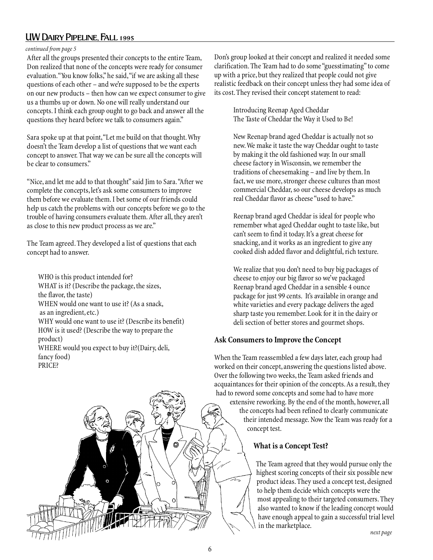### UW Dairy Pipeline, Fall 1995

#### *continued from page 5*

After all the groups presented their concepts to the entire Team, Don realized that none of the concepts were ready for consumer evaluation. "You know folks," he said, "if we are asking all these questions of each other – and we're supposed to be the experts on our new products – then how can we expect consumer to give us a thumbs up or down. No one will really understand our concepts. I think each group ought to go back and answer all the questions they heard before we talk to consumers again."

Sara spoke up at that point, "Let me build on that thought. Why doesn't the Team develop a list of questions that we want each concept to answer. That way we can be sure all the concepts will be clear to consumers."

"Nice, and let me add to that thought" said Jim to Sara. "After we complete the concepts, let's ask some consumers to improve them before we evaluate them. I bet some of our friends could help us catch the problems with our concepts before we go to the trouble of having consumers evaluate them. After all, they aren't as close to this new product process as we are."

The Team agreed. They developed a list of questions that each concept had to answer.

WHO is this product intended for? WHAT is it? (Describe the package, the sizes, the flavor, the taste) WHEN would one want to use it? (As a snack, as an ingredient, etc.) WHY would one want to use it? (Describe its benefit) HOW is it used? (Describe the way to prepare the product) WHERE would you expect to buy it?(Dairy, deli, fancy food) PRICE?



Don's group looked at their concept and realized it needed some clarification. The Team had to do some "guesstimating" to come up with a price, but they realized that people could not give realistic feedback on their concept unless they had some idea of its cost. They revised their concept statement to read:

> Introducing Reenap Aged Cheddar The Taste of Cheddar the Way it Used to Be!

New Reenap brand aged Cheddar is actually not so new. We make it taste the way Cheddar ought to taste by making it the old fashioned way. In our small cheese factory in Wisconsin, we remember the traditions of cheesemaking – and live by them. In fact, we use more, stronger cheese cultures than most commercial Cheddar, so our cheese develops as much real Cheddar flavor as cheese "used to have."

Reenap brand aged Cheddar is ideal for people who remember what aged Cheddar ought to taste like, but can't seem to find it today. It's a great cheese for snacking, and it works as an ingredient to give any cooked dish added flavor and delightful, rich texture.

We realize that you don't need to buy big packages of cheese to enjoy our big flavor so we've packaged Reenap brand aged Cheddar in a sensible 4 ounce package for just 99 cents. It's available in orange and white varieties and every package delivers the aged sharp taste you remember. Look for it in the dairy or deli section of better stores and gourmet shops.

### **Ask Consumers to Improve the Concept**

When the Team reassembled a few days later, each group had worked on their concept, answering the questions listed above. Over the following two weeks, the Team asked friends and acquaintances for their opinion of the concepts. As a result, they had to reword some concepts and some had to have more extensive reworking. By the end of the month, however, all the concepts had been refined to clearly communicate

their intended message. Now the Team was ready for a concept test.

### **What is a Concept Test?**

The Team agreed that they would pursue only the highest scoring concepts of their six possible new product ideas. They used a concept test, designed to help them decide which concepts were the most appealing to their targeted consumers. They also wanted to know if the leading concept would have enough appeal to gain a successful trial level in the marketplace.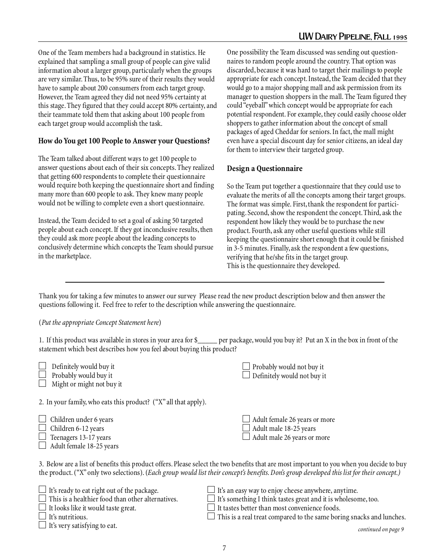One of the Team members had a background in statistics. He explained that sampling a small group of people can give valid information about a larger group, particularly when the groups are very similar. Thus, to be 95% sure of their results they would have to sample about 200 consumers from each target group. However, the Team agreed they did not need 95% certainty at this stage. They figured that they could accept 80% certainty, and their teammate told them that asking about 100 people from each target group would accomplish the task.

#### **How do You get 100 People to Answer your Questions?**

The Team talked about different ways to get 100 people to answer questions about each of their six concepts. They realized that getting 600 respondents to complete their questionnaire would require both keeping the questionnaire short and finding many more than 600 people to ask. They knew many people would not be willing to complete even a short questionnaire.

Instead, the Team decided to set a goal of asking 50 targeted people about each concept. If they got inconclusive results, then they could ask more people about the leading concepts to conclusively determine which concepts the Team should pursue in the marketplace.

One possibility the Team discussed was sending out questionnaires to random people around the country. That option was discarded, because it was hard to target their mailings to people appropriate for each concept. Instead, the Team decided that they would go to a major shopping mall and ask permission from its manager to question shoppers in the mall. The Team figured they could "eyeball" which concept would be appropriate for each potential respondent. For example, they could easily choose older shoppers to gather information about the concept of small packages of aged Cheddar for seniors. In fact, the mall might even have a special discount day for senior citizens, an ideal day for them to interview their targeted group.

### **Design a Questionnaire**

So the Team put together a questionnaire that they could use to evaluate the merits of all the concepts among their target groups. The format was simple. First, thank the respondent for participating. Second, show the respondent the concept. Third, ask the respondent how likely they would be to purchase the new product. Fourth, ask any other useful questions while still keeping the questionnaire short enough that it could be finished in 3-5 minutes. Finally, ask the respondent a few questions, verifying that he/she fits in the target group. This is the questionnaire they developed.

Thank you for taking a few minutes to answer our survey Please read the new product description below and then answer the questions following it. Feel free to refer to the description while answering the questionnaire.

#### (*Put the appropriate Concept Statement here*)

L

1. If this product was available in stores in your area for \$\_\_\_\_\_ per package, would you buy it? Put an X in the box in front of the statement which best describes how you feel about buying this product?

| $\Box$ Definitely would buy it<br>$\Box$ Probably would buy it<br>$\Box$ Might or might not buy it | $\Box$ Probably would not buy it<br>$\Box$ Definitely would not buy it |
|----------------------------------------------------------------------------------------------------|------------------------------------------------------------------------|
| 2. In your family, who eats this product? ("X" all that apply).                                    |                                                                        |

| $\perp$ Children under 6 years   | Adult female 26 years or more      |
|----------------------------------|------------------------------------|
| $\perp$ Children 6-12 years      | $\Box$ Adult male 18-25 years      |
| $\perp$ Teenagers 13-17 years    | $\Box$ Adult male 26 years or more |
| $\perp$ Adult female 18-25 years |                                    |

3. Below are a list of benefits this product offers. Please select the two benefits that are most important to you when you decide to buy the product. ("X" only two selections). (*Each group would list their concept's benefits. Don's group developed this list for their concept.)*

| $\Box$ It's ready to eat right out of the package.       | $\Box$ It's an easy way to enjoy cheese anywhere, anytime.                  |
|----------------------------------------------------------|-----------------------------------------------------------------------------|
| $\Box$ This is a healthier food than other alternatives. | $\Box$ It's something I think tastes great and it is wholesome, too.        |
| $\Box$ It looks like it would taste great.               | $\Box$ It tastes better than most convenience foods.                        |
| $\Box$ It's nutritious.                                  | $\Box$ This is a real treat compared to the same boring snacks and lunches. |
| $\Box$ It's very satisfying to eat.                      | continued on page 9                                                         |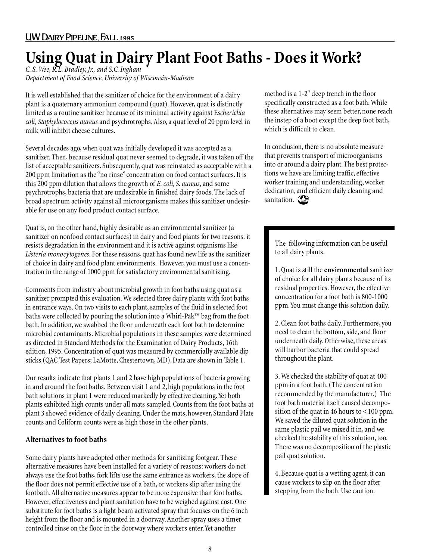### **Using Quat in Dairy Plant Foot Baths - Does it Work?**

*C. S. Wee, R.L. Bradley, Jr., and S.C. Ingham Department of Food Science, University of Wisconsin-Madison*

It is well established that the sanitizer of choice for the environment of a dairy plant is a quaternary ammonium compound (quat). However, quat is distinctly limited as a routine sanitizer because of its minimal activity against E*scherichia coli*, *Staphylococcus aureus* and psychrotrophs. Also, a quat level of 20 ppm level in milk will inhibit cheese cultures.

Several decades ago, when quat was initially developed it was accepted as a sanitizer. Then, because residual quat never seemed to degrade, it was taken off the list of acceptable sanitizers. Subsequently, quat was reinstated as acceptable with a 200 ppm limitation as the "no rinse" concentration on food contact surfaces. It is this 200 ppm dilution that allows the growth of *E. coli*, *S. aureus*, and some psychrotrophs, bacteria that are undesirable in finished dairy foods. The lack of broad spectrum activity against all microorganisms makes this sanitizer undesirable for use on any food product contact surface.

Quat is, on the other hand, highly desirable as an environmental sanitizer (a sanitizer on nonfood contact surfaces) in dairy and food plants for two reasons: it resists degradation in the environment and it is active against organisms like *Listeria monocytogenes*. For these reasons, quat has found new life as the sanitizer of choice in dairy and food plant environments. However, you must use a concentration in the range of 1000 ppm for satisfactory environmental sanitizing.

Comments from industry about microbial growth in foot baths using quat as a sanitizer prompted this evaluation. We selected three dairy plants with foot baths in entrance ways. On two visits to each plant, samples of the fluid in selected foot baths were collected by pouring the solution into a Whirl-Pak™ bag from the foot bath. In addition, we swabbed the floor underneath each foot bath to determine microbial contaminants. Microbial populations in these samples were determined as directed in Standard Methods for the Examination of Dairy Products, 16th edition, 1995. Concentration of quat was measured by commercially available dip sticks (QAC Test Papers; LaMotte, Chestertown, MD). Data are shown in Table 1.

Our results indicate that plants 1 and 2 have high populations of bacteria growing in and around the foot baths. Between visit 1 and 2, high populations in the foot bath solutions in plant 1 were reduced markedly by effective cleaning. Yet both plants exhibited high counts under all mats sampled. Counts from the foot baths at plant 3 showed evidence of daily cleaning. Under the mats, however, Standard Plate counts and Coliform counts were as high those in the other plants.

### **Alternatives to foot baths**

Some dairy plants have adopted other methods for sanitizing footgear. These alternative measures have been installed for a variety of reasons: workers do not always use the foot baths, fork lifts use the same entrance as workers, the slope of the floor does not permit effective use of a bath, or workers slip after using the footbath. All alternative measures appear to be more expensive than foot baths. However, effectiveness and plant sanitation have to be weighed against cost. One substitute for foot baths is a light beam activated spray that focuses on the 6 inch height from the floor and is mounted in a doorway. Another spray uses a timer controlled rinse on the floor in the doorway where workers enter. Yet another

method is a 1-2" deep trench in the floor specifically constructed as a foot bath. While these alternatives may seem better, none reach the instep of a boot except the deep foot bath, which is difficult to clean.

In conclusion, there is no absolute measure that prevents transport of microorganisms into or around a dairy plant. The best protections we have are limiting traffic, effective worker training and understanding, worker dedication, and efficient daily cleaning and sanitation.

The following information can be useful to all dairy plants.

1. Quat is still the **environmental** sanitizer of choice for all dairy plants because of its residual properties. However, the effective concentration for a foot bath is 800-1000 ppm. You must change this solution daily.

2. Clean foot baths daily. Furthermore, you need to clean the bottom, side, and floor underneath daily. Otherwise, these areas will harbor bacteria that could spread throughout the plant.

3. We checked the stability of quat at 400 ppm in a foot bath. (The concentration recommended by the manufacturer.) The foot bath material itself caused decomposition of the quat in 46 hours to <100 ppm. We saved the diluted quat solution in the same plastic pail we mixed it in, and we checked the stability of this solution, too. There was no decomposition of the plastic pail quat solution.

4. Because quat is a wetting agent, it can cause workers to slip on the floor after stepping from the bath. Use caution.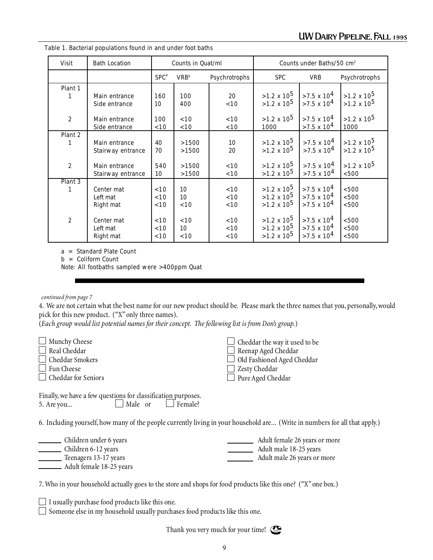| <b>Visit</b>     | <b>Bath Location</b> | Counts in Quat/ml |              |               | Counts under Baths/50 $\text{cm}^2$ |                    |                    |
|------------------|----------------------|-------------------|--------------|---------------|-------------------------------------|--------------------|--------------------|
|                  |                      | SPC <sup>a</sup>  | <b>VRB</b> b | Psychrotrophs | <b>SPC</b>                          | <b>VRB</b>         | Psychrotrophs      |
| Plant 1          |                      |                   |              |               |                                     |                    |                    |
| 1                | Main entrance        | 160               | 100          | 20            | $>1.2 \times 10^5$                  | $>7.5 \times 10^4$ | $>1.2 \times 10^5$ |
|                  | Side entrance        | 10                | 400          | < 10          | $>1.2 \times 10^5$                  | $>7.5 \times 10^4$ | $>1.2 \times 10^5$ |
| $\overline{c}$   | Main entrance        | 100               | < 10         | < 10          | $>1.2 \times 10^5$                  | $>7.5 \times 10^4$ | $>1.2 \times 10^5$ |
|                  | Side entrance        | < 10              | < 10         | < 10          | 1000                                | $>7.5 \times 10^4$ | 1000               |
| Plant 2          |                      |                   |              |               |                                     |                    |                    |
| 1                | Main entrance        | 40                | >1500        | 10            | $>1.2 \times 10^5$                  | $>7.5 \times 10^4$ | $>1.2 \times 10^5$ |
|                  | Stairway entrance    | 70                | >1500        | 20            | $>1.2 \times 10^5$                  | $>7.5 \times 10^4$ | $>1.2 \times 10^5$ |
| $\boldsymbol{2}$ | Main entrance        | 540               | >1500        | < 10          | $>1.2 \times 10^5$                  | $>7.5 \times 10^4$ | $>1.2 \times 10^5$ |
|                  | Stairway entrance    | 10                | >1500        | < 10          | $>1.2 \times 10^5$                  | $>7.5 \times 10^4$ | $500$              |
| Plant 3          |                      |                   |              |               |                                     |                    |                    |
| 1                | Center mat           | < 10              | 10           | < 10          | $>1.2 \times 10^5$                  | $>7.5 \times 10^4$ | < 500              |
|                  | Left mat             | < 10              | 10           | < 10          | $>1.2 \times 10^5$                  | $>7.5 \times 10^4$ | < 500              |
|                  | Right mat            | < 10              | < 10         | < 10          | $>1.2 \times 10^5$                  | $>7.5 \times 10^4$ | < 500              |
|                  |                      |                   |              |               |                                     |                    |                    |
| 2                | Center mat           | < 10              | < 10         | < 10          | $>1.2 \times 10^5$                  | $>7.5 \times 10^4$ | $< 500$            |
|                  | Left mat             | < 10              | 10           | < 10          | $>1.2 \times 10^5$                  | $>7.5 \times 10^4$ | < 500              |
|                  | Right mat            | < 10              | < 10         | < 10          | $>1.2 \times 10^5$                  | $>7.5 \times 10^4$ | $500$              |

Table 1. Bacterial populations found in and under foot baths

a = Standard Plate Count

b = Coliform Count

Note: All footbaths sampled were >400ppm Quat

*continued from page 7*

4. We are not certain what the best name for our new product should be. Please mark the three names that you, personally, would pick for this new product. ("X" only three names).

> $\Box$  Cheddar the way it used to be Reenap Aged Cheddar Old Fashioned Aged Cheddar

Zesty Cheddar Pure Aged Cheddar

(*Each group would list potential names for their concept. The following list is from Don's group.*)

**Munchy Cheese** Real Cheddar Cheddar Smokers

□ Fun Cheese

Cheddar for Seniors

| Finally, we have a few questions for classification purposes. |                |                |
|---------------------------------------------------------------|----------------|----------------|
| 5. Are you                                                    | $\Box$ Male or | $\Box$ Female? |

6. Including yourself, how many of the people currently living in your household are... (Write in numbers for all that apply.)

| Children under 6 years   | Adult female 26 years or more |
|--------------------------|-------------------------------|
| Children 6-12 years      | Adult male 18-25 years        |
| Teenagers 13-17 years    | Adult male 26 years or more   |
| Adult female 18-25 years |                               |

7. Who in your household actually goes to the store and shops for food products like this one? ("X" one box.)

 $\Box$  I usually purchase food products like this one.

 $\Box$  Someone else in my household usually purchases food products like this one.

Thank you very much for your time!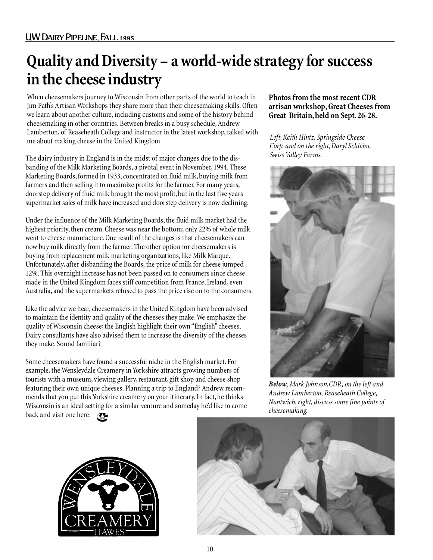### **Quality and Diversity – a world-wide strategy for success in the cheese industry**

When cheesemakers journey to Wisconsin from other parts of the world to teach in Jim Path's Artisan Workshops they share more than their cheesemaking skills. Often we learn about another culture, including customs and some of the history behind cheesemaking in other countries. Between breaks in a busy schedule, Andrew Lamberton, of Reaseheath College and instructor in the latest workshop, talked with me about making cheese in the United Kingdom.

The dairy industry in England is in the midst of major changes due to the disbanding of the Milk Marketing Boards, a pivotal event in November, 1994. These Marketing Boards, formed in 1933, concentrated on fluid milk, buying milk from farmers and then selling it to maximize profits for the farmer. For many years, doorstep delivery of fluid milk brought the most profit, but in the last five years supermarket sales of milk have increased and doorstep delivery is now declining.

Under the influence of the Milk Marketing Boards, the fluid milk market had the highest priority, then cream. Cheese was near the bottom; only 22% of whole milk went to cheese manufacture. One result of the changes is that cheesemakers can now buy milk directly from the farmer. The other option for cheesemakers is buying from replacement milk marketing organizations, like Milk Marque. Unfortunately, after disbanding the Boards, the price of milk for cheese jumped 12%. This overnight increase has not been passed on to consumers since cheese made in the United Kingdom faces stiff competition from France, Ireland, even Australia, and the supermarkets refused to pass the price rise on to the consumers.

Like the advice we hear, cheesemakers in the United Kingdom have been advised to maintain the identity and quality of the cheeses they make. We emphasize the quality of Wisconsin cheese; the English highlight their own "English" cheeses. Dairy consultants have also advised them to increase the diversity of the cheeses they make. Sound familiar?

Some cheesemakers have found a successful niche in the English market. For example, the Wensleydale Creamery in Yorkshire attracts growing numbers of tourists with a museum, viewing gallery, restaurant, gift shop and cheese shop featuring their own unique cheeses. Planning a trip to England? Andrew recommends that you put this Yorkshire creamery on your itinerary. In fact, he thinks Wisconsin is an ideal setting for a similar venture and someday he'd like to come back and visit one here.  $\sum_{\text{Cone}}$ 

### **Photos from the most recent CDR artisan workshop, Great Cheeses from Great Britain, held on Sept. 26-28.**

*Left, Keith Hintz, Springside Cheese Corp, and on the right, Daryl Schleim, Swiss Valley Farms.*



*Below, Mark Johnson,CDR, on the left and Andrew Lamberton, Reaseheath College, Nantwich, right, discuss some fine points of cheesemaking.*



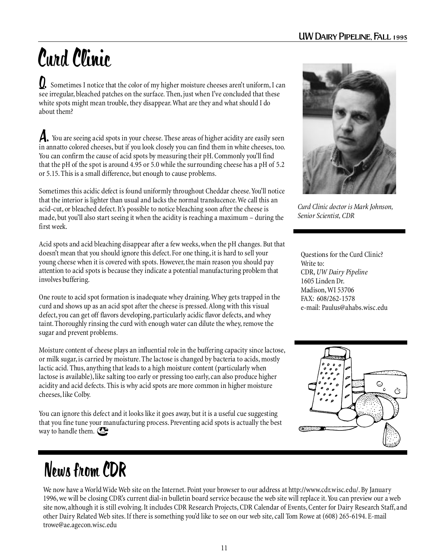## Curd Clinic

**Q.** Sometimes I notice that the color of my higher moisture cheeses aren't uniform, I can see irregular, bleached patches on the surface. Then, just when I've concluded that these white spots might mean trouble, they disappear. What are they and what should I do about them?

A. You are seeing acid spots in your cheese. These areas of higher acidity are easily seen in annatto colored cheeses, but if you look closely you can find them in white cheeses, too. You can confirm the cause of acid spots by measuring their pH. Commonly you'll find that the pH of the spot is around 4.95 or 5.0 while the surrounding cheese has a pH of 5.2 or 5.15. This is a small difference, but enough to cause problems.

Sometimes this acidic defect is found uniformly throughout Cheddar cheese. You'll notice that the interior is lighter than usual and lacks the normal translucence. We call this an acid-cut, or bleached defect. It's possible to notice bleaching soon after the cheese is made, but you'll also start seeing it when the acidity is reaching a maximum – during the first week.

Acid spots and acid bleaching disappear after a few weeks, when the pH changes. But that doesn't mean that you should ignore this defect. For one thing, it is hard to sell your young cheese when it is covered with spots. However, the main reason you should pay attention to acid spots is because they indicate a potential manufacturing problem that involves buffering.

One route to acid spot formation is inadequate whey draining. Whey gets trapped in the curd and shows up as an acid spot after the cheese is pressed. Along with this visual defect, you can get off flavors developing, particularly acidic flavor defects, and whey taint. Thoroughly rinsing the curd with enough water can dilute the whey, remove the sugar and prevent problems.

Moisture content of cheese plays an influential role in the buffering capacity since lactose, or milk sugar, is carried by moisture. The lactose is changed by bacteria to acids, mostly lactic acid. Thus, anything that leads to a high moisture content (particularly when lactose is available), like salting too early or pressing too early, can also produce higher acidity and acid defects. This is why acid spots are more common in higher moisture cheeses, like Colby.

You can ignore this defect and it looks like it goes away, but it is a useful cue suggesting that you fine tune your manufacturing process. Preventing acid spots is actually the best way to handle them. CODR

### News from CDR

We now have a World Wide Web site on the Internet. Point your browser to our address at http://www.cdr.wisc.edu/. By January 1996, we will be closing CDR's current dial-in bulletin board service because the web site will replace it. You can preview our a web site now, although it is still evolving. It includes CDR Research Projects, CDR Calendar of Events, Center for Dairy Research Staff, and other Dairy Related Web sites. If there is something you'd like to see on our web site, call Tom Rowe at (608) 265-6194. E-mail trowe@ae.agecon.wisc.edu



*Curd Clinic doctor is Mark Johnson, Senior Scientist, CDR*

Questions for the Curd Clinic? Write to: CDR, *UW Dairy Pipeline* 1605 Linden Dr. Madison, WI 53706 FAX: 608/262-1578 e-mail: Paulus@ahabs.wisc.edu